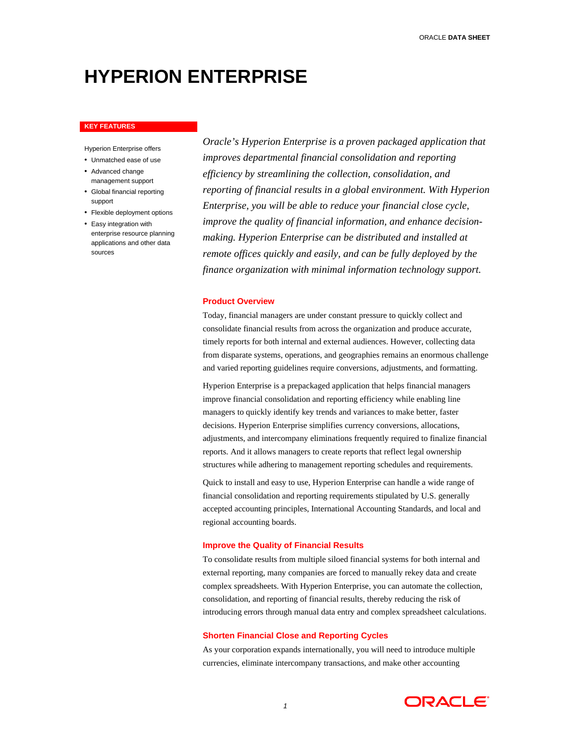# **HYPERION ENTERPRISE**

#### **KEY FEATURES**

Hyperion Enterprise offers

- Unmatched ease of use
- Advanced change management support
- Global financial reporting support
- Flexible deployment options
- Easy integration with enterprise resource planning applications and other data sources

*Oracle's Hyperion Enterprise is a proven packaged application that improves departmental financial consolidation and reporting efficiency by streamlining the collection, consolidation, and reporting of financial results in a global environment. With Hyperion Enterprise, you will be able to reduce your financial close cycle, improve the quality of financial information, and enhance decisionmaking. Hyperion Enterprise can be distributed and installed at remote offices quickly and easily, and can be fully deployed by the finance organization with minimal information technology support.* 

## **Product Overview**

Today, financial managers are under constant pressure to quickly collect and consolidate financial results from across the organization and produce accurate, timely reports for both internal and external audiences. However, collecting data from disparate systems, operations, and geographies remains an enormous challenge and varied reporting guidelines require conversions, adjustments, and formatting.

Hyperion Enterprise is a prepackaged application that helps financial managers improve financial consolidation and reporting efficiency while enabling line managers to quickly identify key trends and variances to make better, faster decisions. Hyperion Enterprise simplifies currency conversions, allocations, adjustments, and intercompany eliminations frequently required to finalize financial reports. And it allows managers to create reports that reflect legal ownership structures while adhering to management reporting schedules and requirements.

Quick to install and easy to use, Hyperion Enterprise can handle a wide range of financial consolidation and reporting requirements stipulated by U.S. generally accepted accounting principles, International Accounting Standards, and local and regional accounting boards.

### **Improve the Quality of Financial Results**

To consolidate results from multiple siloed financial systems for both internal and external reporting, many companies are forced to manually rekey data and create complex spreadsheets. With Hyperion Enterprise, you can automate the collection, consolidation, and reporting of financial results, thereby reducing the risk of introducing errors through manual data entry and complex spreadsheet calculations.

## **Shorten Financial Close and Reporting Cycles**

As your corporation expands internationally, you will need to introduce multiple currencies, eliminate intercompany transactions, and make other accounting